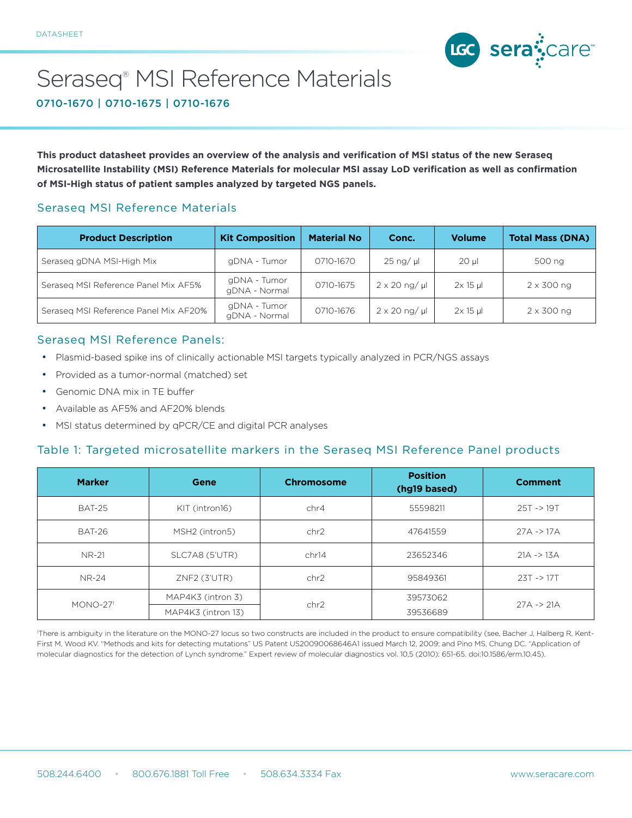

# Seraseq® MSI Reference Materials

0710-1670 | 0710-1675 | 0710-1676

**This product datasheet provides an overview of the analysis and verification of MSI status of the new Seraseq Microsatellite Instability (MSI) Reference Materials for molecular MSI assay LoD verification as well as confirmation of MSI-High status of patient samples analyzed by targeted NGS panels.**

## Seraseq MSI Reference Materials

| <b>Product Description</b>            | <b>Kit Composition</b>        | <b>Material No</b> | Conc.                          | <b>Volume</b> | <b>Total Mass (DNA)</b> |
|---------------------------------------|-------------------------------|--------------------|--------------------------------|---------------|-------------------------|
| Seraseg gDNA MSI-High Mix             | gDNA - Tumor                  | 0710-1670          | $25 \nmid \text{ng}/ \text{µ}$ | $20$ µ        | 500 ng                  |
| Seraseg MSI Reference Panel Mix AF5%  | gDNA - Tumor<br>gDNA - Normal | 0710-1675          | $2 \times 20$ ng/ µ            | $2x15$ µ      | $2 \times 300$ ng       |
| Seraseg MSI Reference Panel Mix AF20% | gDNA - Tumor<br>gDNA - Normal | 0710-1676          | $2 \times 20$ ng/ µ            | $2x$ 15 µ     | $2 \times 300$ ng       |

## Seraseq MSI Reference Panels:

- Plasmid-based spike ins of clinically actionable MSI targets typically analyzed in PCR/NGS assays
- Provided as a tumor-normal (matched) set
- Genomic DNA mix in TE buffer
- Available as AF5% and AF20% blends
- MSI status determined by qPCR/CE and digital PCR analyses

#### Table 1: Targeted microsatellite markers in the Seraseq MSI Reference Panel products

| <b>Marker</b> | Gene               | Chromosome | <b>Position</b><br>(hg19 based) | <b>Comment</b>        |
|---------------|--------------------|------------|---------------------------------|-----------------------|
| <b>BAT-25</b> | KIT (intron16)     | chr4       | 55598211                        | $25T \rightarrow 19T$ |
| BAT-26        | MSH2 (intron5)     | chr2       | 47641559                        | $27A \rightarrow 17A$ |
| NR-21         | SLC7A8 (5'UTR)     | chr14      | 23652346                        | $21A \rightarrow 13A$ |
| <b>NR-24</b>  | $ZNF2$ (3'UTR)     | chr2       | 95849361                        | $23T \rightarrow 17T$ |
| $MONO-271$    | MAP4K3 (intron 3)  | 39573062   |                                 |                       |
|               | MAP4K3 (intron 13) | chr2       | 39536689                        | $27A \rightarrow 21A$ |

1 There is ambiguity in the literature on the MONO-27 locus so two constructs are included in the product to ensure compatibility (see, Bacher J, Halberg R, Kent-First M, Wood KV. "Methods and kits for detecting mutations" US Patent US20090068646A1 issued March 12, 2009; and Pino MS, Chung DC. "Application of molecular diagnostics for the detection of Lynch syndrome." Expert review of molecular diagnostics vol. 10,5 (2010): 651-65. doi:10.1586/erm.10.45).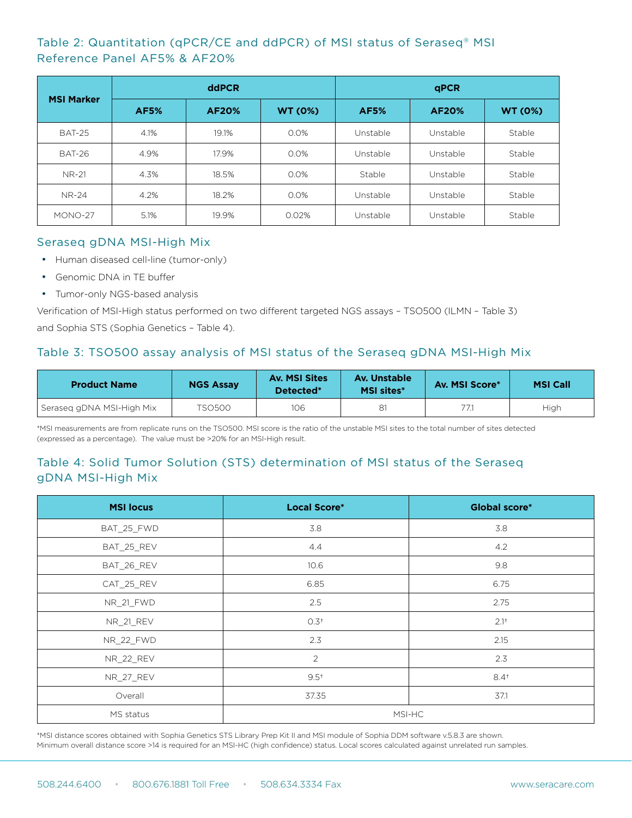# Table 2: Quantitation (qPCR/CE and ddPCR) of MSI status of Seraseq® MSI Reference Panel AF5% & AF20%

|                   | ddPCR       |              |                | <b>qPCR</b> |              |                |
|-------------------|-------------|--------------|----------------|-------------|--------------|----------------|
| <b>MSI Marker</b> | <b>AF5%</b> | <b>AF20%</b> | <b>WT (0%)</b> | <b>AF5%</b> | <b>AF20%</b> | <b>WT (0%)</b> |
| <b>BAT-25</b>     | 4.1%        | 19.1%        | 0.0%           | Unstable    | Unstable     | Stable         |
| <b>BAT-26</b>     | 4.9%        | 17.9%        | 0.0%           | Unstable    | Unstable     | Stable         |
| <b>NR-21</b>      | 4.3%        | 18.5%        | 0.0%           | Stable      | Unstable     | Stable         |
| <b>NR-24</b>      | 4.2%        | 18.2%        | 0.0%           | Unstable    | Unstable     | Stable         |
| MONO-27           | 5.1%        | 19.9%        | 0.02%          | Unstable    | Unstable     | Stable         |

#### Seraseq gDNA MSI-High Mix

- Human diseased cell-line (tumor-only)
- Genomic DNA in TE buffer
- Tumor-only NGS-based analysis

Verification of MSI-High status performed on two different targeted NGS assays – TSO500 (ILMN – Table 3) and Sophia STS (Sophia Genetics – Table 4).

# Table 3: TSO500 assay analysis of MSI status of the Seraseq gDNA MSI-High Mix

| <b>Product Name</b>       | <b>NGS Assay</b> | <b>Av. MSI Sites</b><br>Detected <sup>*</sup> | Av. Unstable<br><b>MSI sites*</b> | Av. MSI Score* | <b>MSI Call</b> |
|---------------------------|------------------|-----------------------------------------------|-----------------------------------|----------------|-----------------|
| Seraseg gDNA MSI-High Mix | TSO500.          | 106                                           | 81                                | 77.1           | High            |

\*MSI measurements are from replicate runs on the TSO500. MSI score is the ratio of the unstable MSI sites to the total number of sites detected (expressed as a percentage). The value must be >20% for an MSI-High result.

# Table 4: Solid Tumor Solution (STS) determination of MSI status of the Seraseq gDNA MSI-High Mix

| <b>MSI locus</b> | <b>Local Score*</b> | <b>Global score*</b> |  |
|------------------|---------------------|----------------------|--|
| BAT_25_FWD       | 3.8                 | 3.8                  |  |
| BAT_25_REV       | 4.4                 | 4.2                  |  |
| BAT_26_REV       | 10.6                | 9.8                  |  |
| CAT_25_REV       | 6.85                | 6.75                 |  |
| <b>NR_21_FWD</b> | 2.5                 | 2.75                 |  |
| <b>NR_21_REV</b> | 0.3 <sup>†</sup>    | $2.1^{+}$            |  |
| NR_22_FWD        | 2.3                 | 2.15                 |  |
| NR_22_REV        | $\overline{2}$      | 2.3                  |  |
| NR_27_REV        | $9.5^{+}$           | $8.4^{+}$            |  |
| Overall          | 37.35               | 37.1                 |  |
| MS status        | MSI-HC              |                      |  |

\*MSI distance scores obtained with Sophia Genetics STS Library Prep Kit II and MSI module of Sophia DDM software v.5.8.3 are shown. Minimum overall distance score >14 is required for an MSI-HC (high confidence) status. Local scores calculated against unrelated run samples.